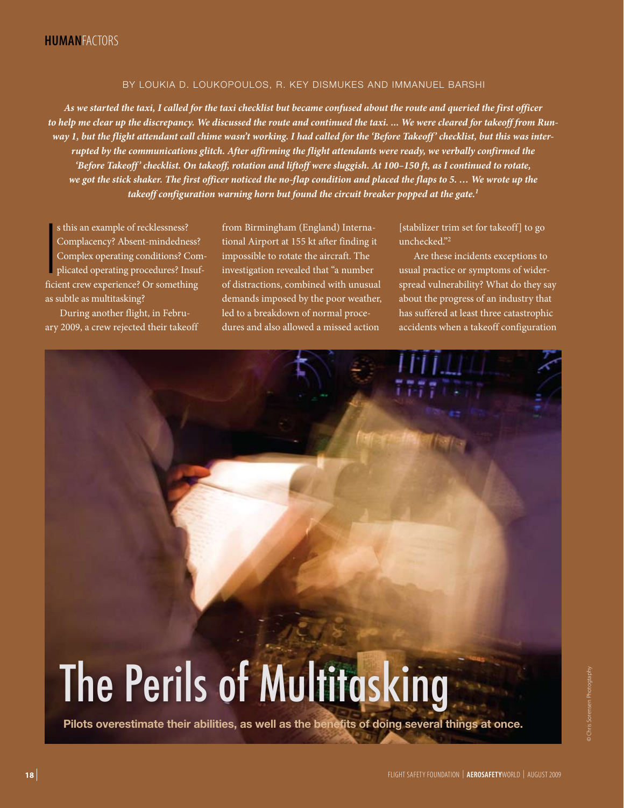## BY LOUKIA D. LOUKOPOULOS, R. KEY DISMUKES AND IMMANUEL BARSHI

*As we started the taxi, I called for the taxi checklist but became confused about the route and queried the first officer to help me clear up the discrepancy. We discussed the route and continued the taxi. ... We were cleared for takeoff from Run*way 1, but the flight attendant call chime wasn't working. I had called for the 'Before Takeoff' checklist, but this was inter*rupted by the communications glitch. After affirming the flight attendants were ready, we verbally confirmed the 'Before Takeoff ' checklist. On takeoff, rotation and liftoff were sluggish. At 100–150 ft, as I continued to rotate, we got the stick shaker. The first officer noticed the no-flap condition and placed the flaps to 5. … We wrote up the takeoff configuration warning horn but found the circuit breaker popped at the gate.1*

**I**<br>Ifici s this an example of recklessness? Complacency? Absent-mindedness? Complex operating conditions? Complicated operating procedures? Insufficient crew experience? Or something as subtle as multitasking?

During another flight, in February 2009, a crew rejected their takeoff from Birmingham (England) International Airport at 155 kt after finding it impossible to rotate the aircraft. The investigation revealed that "a number of distractions, combined with unusual demands imposed by the poor weather, led to a breakdown of normal procedures and also allowed a missed action

[stabilizer trim set for takeoff] to go unchecked."2

Are these incidents exceptions to usual practice or symptoms of widerspread vulnerability? What do they say about the progress of an industry that has suffered at least three catastrophic accidents when a takeoff configuration



**Pilots overestimate their abilities, as well as the benefits of doing several things at once.**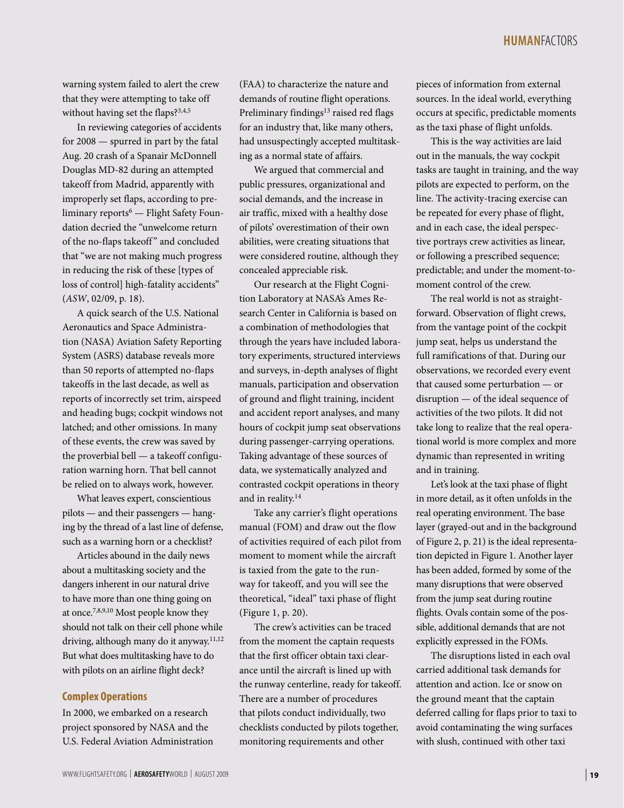warning system failed to alert the crew that they were attempting to take off without having set the flaps?<sup>3,4,5</sup>

In reviewing categories of accidents for 2008 — spurred in part by the fatal Aug. 20 crash of a Spanair McDonnell Douglas MD-82 during an attempted takeoff from Madrid, apparently with improperly set flaps, according to preliminary reports6 — Flight Safety Foundation decried the "unwelcome return of the no-flaps takeoff" and concluded that "we are not making much progress in reducing the risk of these [types of loss of control] high-fatality accidents" (*ASW*[, 02/09, p. 18\).](http://www.flightsafety.org/asw/feb09/asw_feb09_p18-23.pdf)

A quick search of the U.S. National Aeronautics and Space Administration (NASA) Aviation Safety Reporting System (ASRS) database reveals more than 50 reports of attempted no-flaps takeoffs in the last decade, as well as reports of incorrectly set trim, airspeed and heading bugs; cockpit windows not latched; and other omissions. In many of these events, the crew was saved by the proverbial bell — a takeoff configuration warning horn. That bell cannot be relied on to always work, however.

What leaves expert, conscientious pilots — and their passengers — hanging by the thread of a last line of defense, such as a warning horn or a checklist?

Articles abound in the daily news about a multitasking society and the dangers inherent in our natural drive to have more than one thing going on at once.7,8,9,10 Most people know they should not talk on their cell phone while driving, although many do it anyway.<sup>11,12</sup> But what does multitasking have to do with pilots on an airline flight deck?

## **Complex Operations**

In 2000, we embarked on a research project sponsored by NASA and the U.S. Federal Aviation Administration (FAA) to characterize the nature and demands of routine flight operations. Preliminary findings<sup>13</sup> raised red flags for an industry that, like many others, had unsuspectingly accepted multitasking as a normal state of affairs.

We argued that commercial and public pressures, organizational and social demands, and the increase in air traffic, mixed with a healthy dose of pilots' overestimation of their own abilities, were creating situations that were considered routine, although they concealed appreciable risk.

Our research at the Flight Cognition Laboratory at NASA's Ames Research Center in California is based on a combination of methodologies that through the years have included laboratory experiments, structured interviews and surveys, in-depth analyses of flight manuals, participation and observation of ground and flight training, incident and accident report analyses, and many hours of cockpit jump seat observations during passenger-carrying operations. Taking advantage of these sources of data, we systematically analyzed and contrasted cockpit operations in theory and in reality.<sup>14</sup>

Take any carrier's flight operations manual (FOM) and draw out the flow of activities required of each pilot from moment to moment while the aircraft is taxied from the gate to the runway for takeoff, and you will see the theoretical, "ideal" taxi phase of flight (Figure 1, p. 20).

The crew's activities can be traced from the moment the captain requests that the first officer obtain taxi clearance until the aircraft is lined up with the runway centerline, ready for takeoff. There are a number of procedures that pilots conduct individually, two checklists conducted by pilots together, monitoring requirements and other

pieces of information from external sources. In the ideal world, everything occurs at specific, predictable moments as the taxi phase of flight unfolds.

This is the way activities are laid out in the manuals, the way cockpit tasks are taught in training, and the way pilots are expected to perform, on the line. The activity-tracing exercise can be repeated for every phase of flight, and in each case, the ideal perspective portrays crew activities as linear, or following a prescribed sequence; predictable; and under the moment-tomoment control of the crew.

The real world is not as straightforward. Observation of flight crews, from the vantage point of the cockpit jump seat, helps us understand the full ramifications of that. During our observations, we recorded every event that caused some perturbation — or disruption — of the ideal sequence of activities of the two pilots. It did not take long to realize that the real operational world is more complex and more dynamic than represented in writing and in training.

Let's look at the taxi phase of flight in more detail, as it often unfolds in the real operating environment. The base layer (grayed-out and in the background of Figure 2, p. 21) is the ideal representation depicted in Figure 1. Another layer has been added, formed by some of the many disruptions that were observed from the jump seat during routine flights. Ovals contain some of the possible, additional demands that are not explicitly expressed in the FOMs.

The disruptions listed in each oval carried additional task demands for attention and action. Ice or snow on the ground meant that the captain deferred calling for flaps prior to taxi to avoid contaminating the wing surfaces with slush, continued with other taxi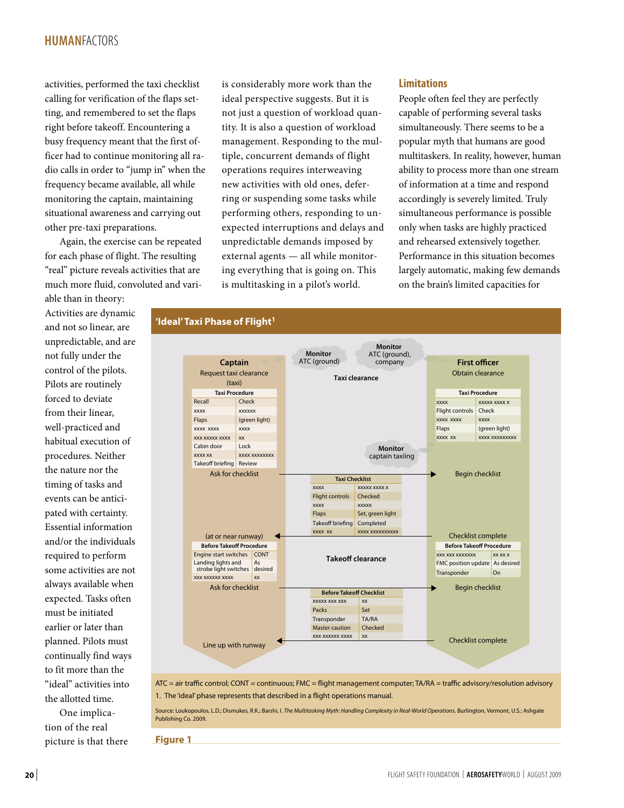# **human**factors

activities, performed the taxi checklist calling for verification of the flaps setting, and remembered to set the flaps right before takeoff. Encountering a busy frequency meant that the first officer had to continue monitoring all radio calls in order to "jump in" when the frequency became available, all while monitoring the captain, maintaining situational awareness and carrying out other pre-taxi preparations.

Again, the exercise can be repeated for each phase of flight. The resulting "real" picture reveals activities that are much more fluid, convoluted and vari-

able than in theory: Activities are dynamic and not so linear, are unpredictable, and are not fully under the control of the pilots. Pilots are routinely forced to deviate from their linear, well-practiced and habitual execution of procedures. Neither the nature nor the timing of tasks and events can be anticipated with certainty. Essential information and/or the individuals required to perform some activities are not always available when expected. Tasks often must be initiated earlier or later than planned. Pilots must continually find ways to fit more than the "ideal" activities into the allotted time.

One implication of the real picture is that there is considerably more work than the ideal perspective suggests. But it is not just a question of workload quantity. It is also a question of workload management. Responding to the multiple, concurrent demands of flight operations requires interweaving new activities with old ones, deferring or suspending some tasks while performing others, responding to unexpected interruptions and delays and unpredictable demands imposed by external agents — all while monitoring everything that is going on. This is multitasking in a pilot's world.

## **Limitations**

People often feel they are perfectly capable of performing several tasks simultaneously. There seems to be a popular myth that humans are good multitaskers. In reality, however, human ability to process more than one stream of information at a time and respond accordingly is severely limited. Truly simultaneous performance is possible only when tasks are highly practiced and rehearsed extensively together. Performance in this situation becomes largely automatic, making few demands on the brain's limited capacities for

## 'Ideal' Taxi Phase of Flight<sup>1</sup>



ATC = air traffic control; CONT = continuous; FMC = flight management computer; TA/RA = traffic advisory/resolution advisory 1. The 'ideal' phase represents that described in a flight operations manual.

Source: Loukopoulos, L.D.; Dismukes, R.K.; Barshi, I. *The Multitasking Myth: Handling Complexity in Real-World Operations*. Burlington, Vermont, U.S.: Ashgate Publishing Co. 2009.

**Figure 1**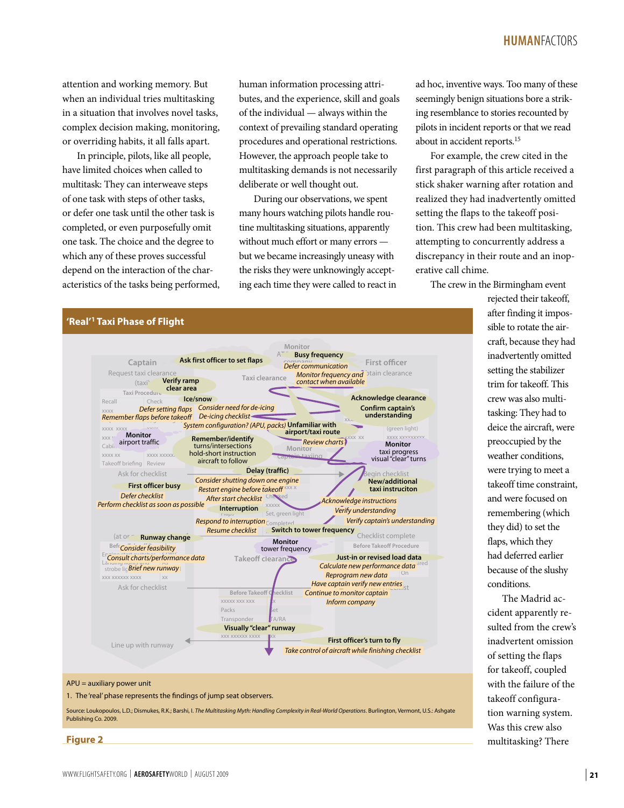## **HUMAN**Factors

attention and working memory. But when an individual tries multitasking in a situation that involves novel tasks, complex decision making, monitoring, or overriding habits, it all falls apart.

In principle, pilots, like all people, have limited choices when called to multitask: They can interweave steps of one task with steps of other tasks, or defer one task until the other task is completed, or even purposefully omit one task. The choice and the degree to which any of these proves successful depend on the interaction of the characteristics of the tasks being performed, human information processing attributes, and the experience, skill and goals of the individual — always within the context of prevailing standard operating procedures and operational restrictions. However, the approach people take to multitasking demands is not necessarily deliberate or well thought out.

During our observations, we spent many hours watching pilots handle routine multitasking situations, apparently without much effort or many errors but we became increasingly uneasy with the risks they were unknowingly accepting each time they were called to react in ad hoc, inventive ways. Too many of these seemingly benign situations bore a striking resemblance to stories recounted by pilots in incident reports or that we read about in accident reports.15

For example, the crew cited in the first paragraph of this article received a stick shaker warning after rotation and realized they had inadvertently omitted setting the flaps to the takeoff position. This crew had been multitasking, attempting to concurrently address a discrepancy in their route and an inoperative call chime.

The crew in the Birmingham event

rejected their takeoff, after finding it impossible to rotate the aircraft, because they had inadvertently omitted setting the stabilizer trim for takeoff. This crew was also multitasking: They had to deice the aircraft, were preoccupied by the weather conditions, were trying to meet a takeoff time constraint, and were focused on remembering (which they did) to set the flaps, which they had deferred earlier because of the slushy conditions.

The Madrid accident apparently resulted from the crew's inadvertent omission of setting the flaps for takeoff, coupled with the failure of the takeoff configuration warning system. Was this crew also multitasking? There

### **'Real'1 Taxi Phase of Flight**



#### APU = auxiliary power unit

1. The 'real' phase represents the findings of jump seat observers.

Source: Loukopoulos, L.D.; Dismukes, R.K.; Barshi, I. *The Multitasking Myth: Handling Complexity in Real-World Operations*. Burlington, Vermont, U.S.: Ashgate Publishing Co. 2009.

**Figure 2**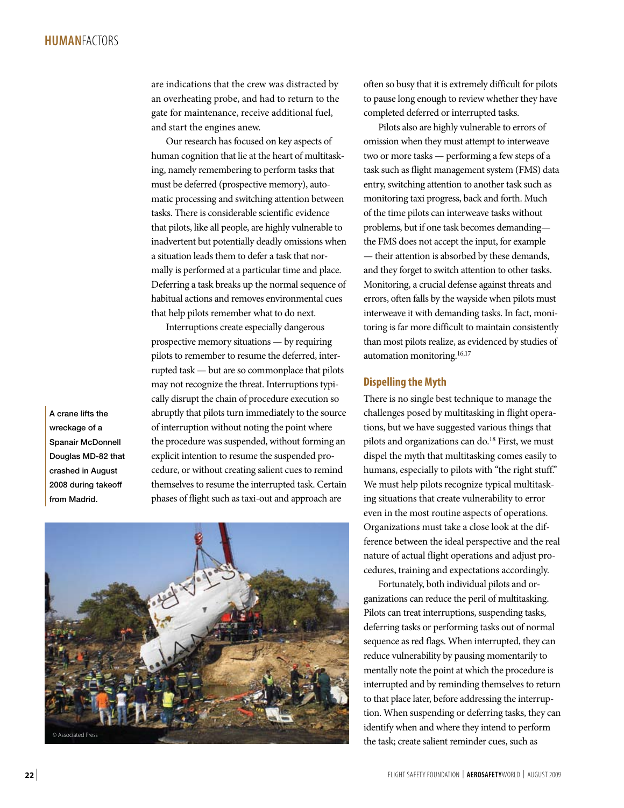are indications that the crew was distracted by an overheating probe, and had to return to the gate for maintenance, receive additional fuel, and start the engines anew.

Our research has focused on key aspects of human cognition that lie at the heart of multitasking, namely remembering to perform tasks that must be deferred (prospective memory), automatic processing and switching attention between tasks. There is considerable scientific evidence that pilots, like all people, are highly vulnerable to inadvertent but potentially deadly omissions when a situation leads them to defer a task that normally is performed at a particular time and place. Deferring a task breaks up the normal sequence of habitual actions and removes environmental cues that help pilots remember what to do next.

Interruptions create especially dangerous prospective memory situations — by requiring pilots to remember to resume the deferred, interrupted task — but are so commonplace that pilots may not recognize the threat. Interruptions typically disrupt the chain of procedure execution so abruptly that pilots turn immediately to the source of interruption without noting the point where the procedure was suspended, without forming an explicit intention to resume the suspended procedure, or without creating salient cues to remind themselves to resume the interrupted task. Certain phases of flight such as taxi-out and approach are

A crane lifts the wreckage of a Spanair McDonnell Douglas MD-82 that crashed in August 2008 during takeoff from Madrid.



often so busy that it is extremely difficult for pilots to pause long enough to review whether they have completed deferred or interrupted tasks.

Pilots also are highly vulnerable to errors of omission when they must attempt to interweave two or more tasks — performing a few steps of a task such as flight management system (FMS) data entry, switching attention to another task such as monitoring taxi progress, back and forth. Much of the time pilots can interweave tasks without problems, but if one task becomes demanding the FMS does not accept the input, for example — their attention is absorbed by these demands, and they forget to switch attention to other tasks. Monitoring, a crucial defense against threats and errors, often falls by the wayside when pilots must interweave it with demanding tasks. In fact, monitoring is far more difficult to maintain consistently than most pilots realize, as evidenced by studies of automation monitoring.16,17

## **Dispelling the Myth**

There is no single best technique to manage the challenges posed by multitasking in flight operations, but we have suggested various things that pilots and organizations can do.<sup>18</sup> First, we must dispel the myth that multitasking comes easily to humans, especially to pilots with "the right stuff." We must help pilots recognize typical multitasking situations that create vulnerability to error even in the most routine aspects of operations. Organizations must take a close look at the difference between the ideal perspective and the real nature of actual flight operations and adjust procedures, training and expectations accordingly.

Fortunately, both individual pilots and organizations can reduce the peril of multitasking. Pilots can treat interruptions, suspending tasks, deferring tasks or performing tasks out of normal sequence as red flags. When interrupted, they can reduce vulnerability by pausing momentarily to mentally note the point at which the procedure is interrupted and by reminding themselves to return to that place later, before addressing the interruption. When suspending or deferring tasks, they can identify when and where they intend to perform